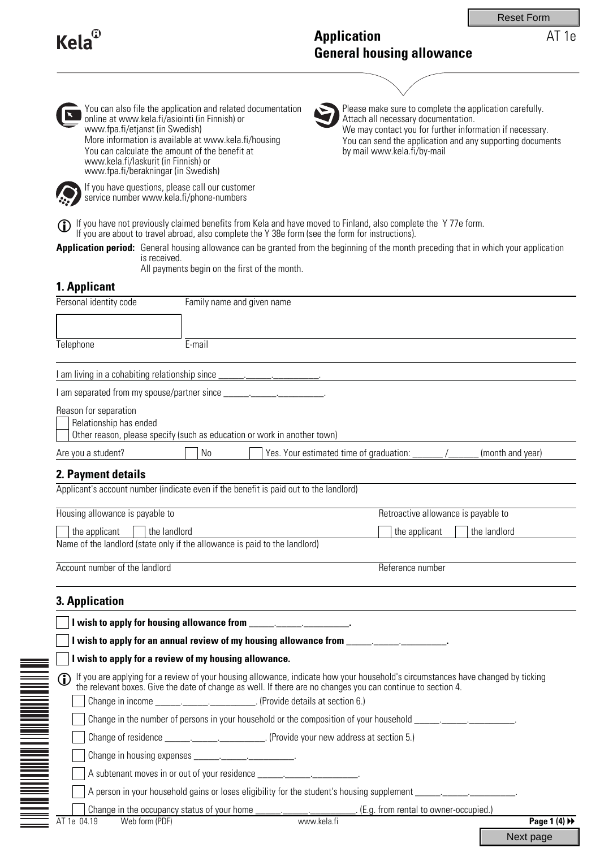Reset Form

# **Kela**

# **Application General housing allowance**

AT 1e



You can also file the application and related documentation online at www.kela.fi/asiointi (in Finnish) or www.fpa.fi/etjanst (in Swedish) More information is available at www.kela.fi/housing You can calculate the amount of the benefit at www.kela.fi/laskurit (in Finnish) or www.fpa.fi/berakningar (in Swedish)



Please make sure to complete the application carefully. Attach all necessary documentation. We may contact you for further information if necessary. You can send the application and any supporting documents by mail www.kela.fi/by-mail

If you have questions, please call our customer service number www.kela.fi/phone-numbers

**If** you have not previously claimed benefits from Kela and have moved to Finland, also complete the Y 77e form.<br>If you are about to travel abroad, also complete the Y 38e form (see the form for instructions).

Application period: General housing allowance can be granted from the beginning of the month preceding that in which your application is received.

All payments begin on the first of the month.

# **1. Applicant**

| Personal identity code                          | Family name and given name                                                                                                                                                                                                       |                                                                                           |                                     |
|-------------------------------------------------|----------------------------------------------------------------------------------------------------------------------------------------------------------------------------------------------------------------------------------|-------------------------------------------------------------------------------------------|-------------------------------------|
|                                                 |                                                                                                                                                                                                                                  |                                                                                           |                                     |
| Telephone                                       | E-mail                                                                                                                                                                                                                           |                                                                                           |                                     |
|                                                 |                                                                                                                                                                                                                                  |                                                                                           |                                     |
|                                                 |                                                                                                                                                                                                                                  |                                                                                           |                                     |
| Reason for separation<br>Relationship has ended | Other reason, please specify (such as education or work in another town)                                                                                                                                                         |                                                                                           |                                     |
| Are you a student?                              | No                                                                                                                                                                                                                               |                                                                                           | (month and year)                    |
| 2. Payment details                              |                                                                                                                                                                                                                                  |                                                                                           |                                     |
|                                                 | Applicant's account number (indicate even if the benefit is paid out to the landlord)                                                                                                                                            |                                                                                           |                                     |
| Housing allowance is payable to                 |                                                                                                                                                                                                                                  |                                                                                           | Retroactive allowance is payable to |
| the applicant<br>$\vert \vert$ the landlord     |                                                                                                                                                                                                                                  | the applicant                                                                             | the landlord                        |
|                                                 | Name of the landlord (state only if the allowance is paid to the landlord)                                                                                                                                                       |                                                                                           |                                     |
| Account number of the landlord                  |                                                                                                                                                                                                                                  | Reference number                                                                          |                                     |
|                                                 |                                                                                                                                                                                                                                  |                                                                                           |                                     |
| 3. Application                                  |                                                                                                                                                                                                                                  | the control of the control of the control of the control of the control of the control of |                                     |
|                                                 | I wish to apply for housing allowance from ________________________.                                                                                                                                                             |                                                                                           |                                     |
|                                                 | I wish to apply for an annual review of my housing allowance from ______________________.                                                                                                                                        |                                                                                           |                                     |
|                                                 | I wish to apply for a review of my housing allowance.                                                                                                                                                                            |                                                                                           |                                     |
| $\mathbf \Phi$                                  | If you are applying for a review of your housing allowance, indicate how your household's circumstances have changed by ticking<br>the relevant boxes. Give the date of change as well. If there are no changes you can continue |                                                                                           |                                     |
|                                                 | Change in income _______________________________. (Provide details at section 6.)                                                                                                                                                |                                                                                           |                                     |
|                                                 | Change in the number of persons in your household or the composition of your household _______________________                                                                                                                   |                                                                                           |                                     |
|                                                 | Change of residence ________________________________. (Provide your new address at section 5.)                                                                                                                                   |                                                                                           |                                     |
|                                                 |                                                                                                                                                                                                                                  |                                                                                           |                                     |
|                                                 | A subtenant moves in or out of your residence __________________________________                                                                                                                                                 |                                                                                           |                                     |
|                                                 | A person in your household gains or loses eligibility for the student's housing supplement _______________.                                                                                                                      |                                                                                           |                                     |
|                                                 | Change in the occupancy status of your home                                                                                                                                                                                      | . (E.g. from rental to owner-occupied.)                                                   |                                     |
| Web form (PDF)<br>AT 1e 04.19                   |                                                                                                                                                                                                                                  | www.kela.fi                                                                               | Page 1 $(4)$ $\rightarrow$          |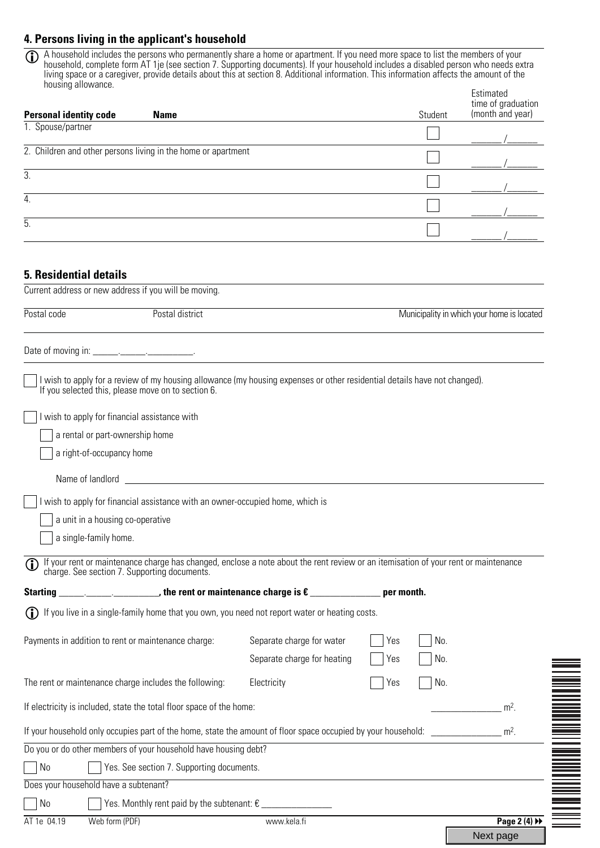## **4. Persons living in the applicant's household**

A household includes the persons who permanently share a home or apartment. If you need more space to list the members of your household, complete form AT 1je (see section 7. Supporting documents). If your household includes a disabled person who needs extra living space or a caregiver, provide details about this at section 8. Additional information. This information affects the amount of the housing allowance.  $\overline{1}$ 

| nousing allowance.<br><b>Personal identity code</b><br><b>Name</b>                                                                                                                                                                                                                                                                                                                                                                 |                             | Student    | Estimated<br>time of graduation<br>(month and year) |
|------------------------------------------------------------------------------------------------------------------------------------------------------------------------------------------------------------------------------------------------------------------------------------------------------------------------------------------------------------------------------------------------------------------------------------|-----------------------------|------------|-----------------------------------------------------|
| 1. Spouse/partner                                                                                                                                                                                                                                                                                                                                                                                                                  |                             |            |                                                     |
| 2. Children and other persons living in the home or apartment                                                                                                                                                                                                                                                                                                                                                                      |                             |            |                                                     |
| 3.                                                                                                                                                                                                                                                                                                                                                                                                                                 |                             |            |                                                     |
|                                                                                                                                                                                                                                                                                                                                                                                                                                    |                             |            |                                                     |
| 4.                                                                                                                                                                                                                                                                                                                                                                                                                                 |                             |            |                                                     |
| 5.                                                                                                                                                                                                                                                                                                                                                                                                                                 |                             |            |                                                     |
|                                                                                                                                                                                                                                                                                                                                                                                                                                    |                             |            |                                                     |
| <b>5. Residential details</b>                                                                                                                                                                                                                                                                                                                                                                                                      |                             |            |                                                     |
| Current address or new address if you will be moving.                                                                                                                                                                                                                                                                                                                                                                              |                             |            |                                                     |
| Postal district<br>Postal code                                                                                                                                                                                                                                                                                                                                                                                                     |                             |            | Municipality in which your home is located          |
|                                                                                                                                                                                                                                                                                                                                                                                                                                    |                             |            |                                                     |
|                                                                                                                                                                                                                                                                                                                                                                                                                                    |                             |            |                                                     |
| I wish to apply for a review of my housing allowance (my housing expenses or other residential details have not changed).                                                                                                                                                                                                                                                                                                          |                             |            |                                                     |
| If you selected this, please move on to section 6.                                                                                                                                                                                                                                                                                                                                                                                 |                             |            |                                                     |
| I wish to apply for financial assistance with                                                                                                                                                                                                                                                                                                                                                                                      |                             |            |                                                     |
| a rental or part-ownership home                                                                                                                                                                                                                                                                                                                                                                                                    |                             |            |                                                     |
| a right-of-occupancy home                                                                                                                                                                                                                                                                                                                                                                                                          |                             |            |                                                     |
| Name of landlord and the state of the state of the state of the state of the state of the state of the state of the state of the state of the state of the state of the state of the state of the state of the state of the st                                                                                                                                                                                                     |                             |            |                                                     |
|                                                                                                                                                                                                                                                                                                                                                                                                                                    |                             |            |                                                     |
| I wish to apply for financial assistance with an owner-occupied home, which is<br>a unit in a housing co-operative                                                                                                                                                                                                                                                                                                                 |                             |            |                                                     |
| a single-family home.                                                                                                                                                                                                                                                                                                                                                                                                              |                             |            |                                                     |
|                                                                                                                                                                                                                                                                                                                                                                                                                                    |                             |            |                                                     |
| If your rent or maintenance charge has changed, enclose a note about the rent review or an itemisation of your rent or maintenance charge. See section 7. Supporting documents.<br>$\mathbf{D}$                                                                                                                                                                                                                                    |                             |            |                                                     |
| $\begin{array}{ccccccccccccc} \textbf{[1]} & \textbf{[2]} & \textbf{[3]} & \textbf{[4]} & \textbf{[5]} & \textbf{[6]} & \textbf{[7]} & \textbf{[8]} & \textbf{[8]} & \textbf{[9]} & \textbf{[1]} & \textbf{[1]} & \textbf{[1]} & \textbf{[1]} & \textbf{[1]} & \textbf{[1]} & \textbf{[1]} & \textbf{[1]} & \textbf{[1]} & \textbf{[1]} & \textbf{[1]} & \textbf{[1]} & \textbf{[1]} & \textbf{[1]} & \textbf{$<br><b>Starting</b> |                             | per month. |                                                     |
| If you live in a single-family home that you own, you need not report water or heating costs.<br>(i)                                                                                                                                                                                                                                                                                                                               |                             |            |                                                     |
| Payments in addition to rent or maintenance charge:                                                                                                                                                                                                                                                                                                                                                                                | Separate charge for water   | No.<br>Yes |                                                     |
|                                                                                                                                                                                                                                                                                                                                                                                                                                    | Separate charge for heating | Yes<br>No. |                                                     |
| The rent or maintenance charge includes the following:                                                                                                                                                                                                                                                                                                                                                                             | Electricity                 | No.<br>Yes |                                                     |
|                                                                                                                                                                                                                                                                                                                                                                                                                                    |                             |            |                                                     |
| If electricity is included, state the total floor space of the home:                                                                                                                                                                                                                                                                                                                                                               |                             |            | $m2$ .                                              |
| If your household only occupies part of the home, state the amount of floor space occupied by your household:                                                                                                                                                                                                                                                                                                                      |                             |            | $m2$ .                                              |
| Do you or do other members of your household have housing debt?                                                                                                                                                                                                                                                                                                                                                                    |                             |            |                                                     |
| Yes. See section 7. Supporting documents.<br>No                                                                                                                                                                                                                                                                                                                                                                                    |                             |            |                                                     |
| Does your household have a subtenant?                                                                                                                                                                                                                                                                                                                                                                                              |                             |            |                                                     |
| Yes. Monthly rent paid by the subtenant: $\varepsilon$ _________________<br>No                                                                                                                                                                                                                                                                                                                                                     |                             |            |                                                     |

AT 1e 04.19 Web form (PDF) **Page 2 (4)** Web form (PDF)

Next page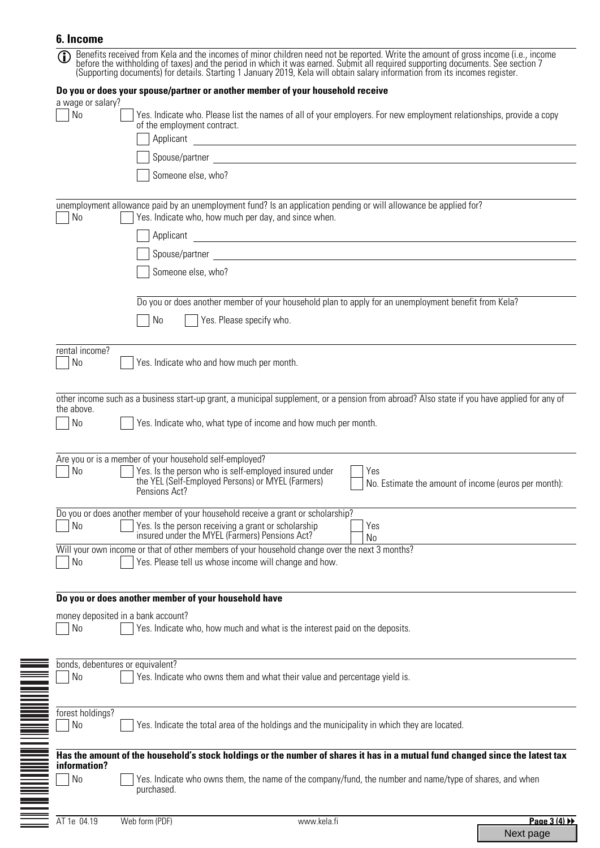## **6. Income**

| $\mathbf \Omega$        | Benefits received from Kela and the incomes of minor children need not be reported. Write the amount of gross income (i.e., income before the withholding of taxes) and the period in which it was earned. Submit all required                                                                                |
|-------------------------|---------------------------------------------------------------------------------------------------------------------------------------------------------------------------------------------------------------------------------------------------------------------------------------------------------------|
|                         | Do you or does your spouse/partner or another member of your household receive                                                                                                                                                                                                                                |
| a wage or salary?<br>No | Yes. Indicate who. Please list the names of all of your employers. For new employment relationships, provide a copy<br>of the employment contract.<br>Applicant<br><u> 1989 - Johann Stein, mars an deutscher Stein und der Stein und der Stein und der Stein und der Stein und der</u><br>Someone else, who? |
| No                      | unemployment allowance paid by an unemployment fund? Is an application pending or will allowance be applied for?<br>Yes. Indicate who, how much per day, and since when.                                                                                                                                      |
|                         | Applicant<br><u> 1989 - Johann Stoff, deutscher Stoffen und der Stoffen und der Stoffen und der Stoffen und der Stoffen und der</u>                                                                                                                                                                           |
|                         | Spouse/partner and the contract of the contract of the contract of the contract of the contract of the contract of the contract of the contract of the contract of the contract of the contract of the contract of the contrac                                                                                |
|                         | Someone else, who?                                                                                                                                                                                                                                                                                            |
|                         | Do you or does another member of your household plan to apply for an unemployment benefit from Kela?<br>No<br>Yes. Please specify who.                                                                                                                                                                        |
| rental income?<br>No    | Yes. Indicate who and how much per month.                                                                                                                                                                                                                                                                     |
|                         | other income such as a business start-up grant, a municipal supplement, or a pension from abroad? Also state if you have applied for any of                                                                                                                                                                   |
| the above.<br>No        | Yes. Indicate who, what type of income and how much per month.                                                                                                                                                                                                                                                |
|                         |                                                                                                                                                                                                                                                                                                               |
| No                      | Are you or is a member of your household self-employed?<br>Yes. Is the person who is self-employed insured under<br>Yes<br>the YEL (Self-Employed Persons) or MYEL (Farmers)<br>No. Estimate the amount of income (euros per month):<br>Pensions Act?                                                         |
| N <sub>0</sub>          | Do you or does another member of your household receive a grant or scholarship?<br>Yes. Is the person receiving a grant or scholarship<br>Yes<br>insured under the MYEL (Farmers) Pensions Act?<br>No                                                                                                         |
| N <sub>0</sub>          | Will your own income or that of other members of your household change over the next 3 months?<br>Yes. Please tell us whose income will change and how.                                                                                                                                                       |
|                         | Do you or does another member of your household have                                                                                                                                                                                                                                                          |
| N <sub>0</sub>          | money deposited in a bank account?<br>Yes. Indicate who, how much and what is the interest paid on the deposits.                                                                                                                                                                                              |
| N <sub>0</sub>          | bonds, debentures or equivalent?<br>Yes. Indicate who owns them and what their value and percentage yield is.                                                                                                                                                                                                 |
| forest holdings?<br>No  | Yes. Indicate the total area of the holdings and the municipality in which they are located.                                                                                                                                                                                                                  |
| information?            | Has the amount of the household's stock holdings or the number of shares it has in a mutual fund changed since the latest tax                                                                                                                                                                                 |
| N <sub>0</sub>          | Yes. Indicate who owns them, the name of the company/fund, the number and name/type of shares, and when<br>purchased.                                                                                                                                                                                         |
| AT 1e 04.19             | Web form (PDF)<br>www.kela.fi<br>Page 3 (4) >>                                                                                                                                                                                                                                                                |